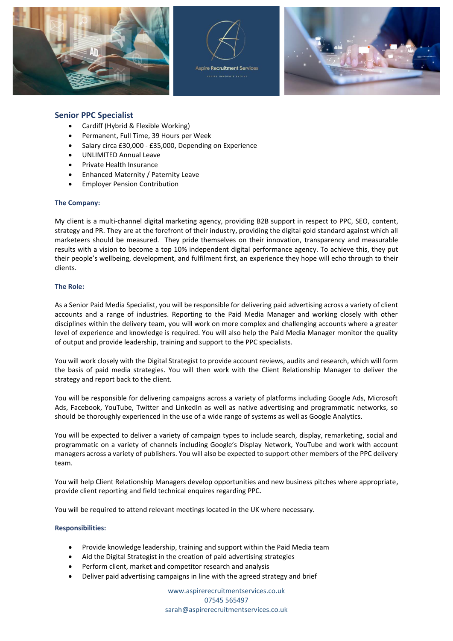



**SPIER INNOVATE EVOLV** 



# **Senior PPC Specialist**

- Cardiff (Hybrid & Flexible Working)
- Permanent, Full Time, 39 Hours per Week
- Salary circa £30,000 £35,000, Depending on Experience
- UNLIMITED Annual Leave
- Private Health Insurance
- Enhanced Maternity / Paternity Leave
- Employer Pension Contribution

### **The Company:**

My client is a multi-channel digital marketing agency, providing B2B support in respect to PPC, SEO, content, strategy and PR. They are at the forefront of their industry, providing the digital gold standard against which all marketeers should be measured. They pride themselves on their innovation, transparency and measurable results with a vision to become a top 10% independent digital performance agency. To achieve this, they put their people's wellbeing, development, and fulfilment first, an experience they hope will echo through to their clients.

## **The Role:**

As a Senior Paid Media Specialist, you will be responsible for delivering paid advertising across a variety of client accounts and a range of industries. Reporting to the Paid Media Manager and working closely with other disciplines within the delivery team, you will work on more complex and challenging accounts where a greater level of experience and knowledge is required. You will also help the Paid Media Manager monitor the quality of output and provide leadership, training and support to the PPC specialists.

You will work closely with the Digital Strategist to provide account reviews, audits and research, which will form the basis of paid media strategies. You will then work with the Client Relationship Manager to deliver the strategy and report back to the client.

You will be responsible for delivering campaigns across a variety of platforms including Google Ads, Microsoft Ads, Facebook, YouTube, Twitter and LinkedIn as well as native advertising and programmatic networks, so should be thoroughly experienced in the use of a wide range of systems as well as Google Analytics.

You will be expected to deliver a variety of campaign types to include search, display, remarketing, social and programmatic on a variety of channels including Google's Display Network, YouTube and work with account managers across a variety of publishers. You will also be expected to support other members of the PPC delivery team.

You will help Client Relationship Managers develop opportunities and new business pitches where appropriate, provide client reporting and field technical enquires regarding PPC.

You will be required to attend relevant meetings located in the UK where necessary.

## **Responsibilities:**

- Provide knowledge leadership, training and support within the Paid Media team
- Aid the Digital Strategist in the creation of paid advertising strategies
- Perform client, market and competitor research and analysis
- Deliver paid advertising campaigns in line with the agreed strategy and brief

www.aspirerecruitmentservices.co.uk 07545 565497 [sarah@aspirerecruitmentservices.co.uk](mailto:sarah@aspirerecruitmentservices.co.uk)